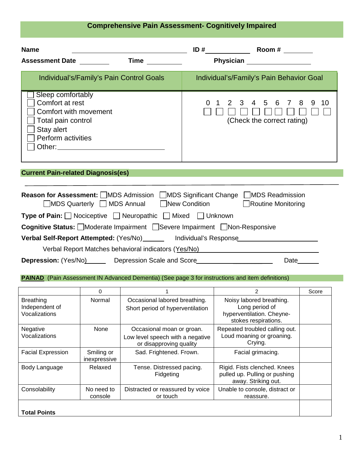# **Comprehensive Pain Assessment- Cognitively Impaired**

| <b>Name</b><br>Time $\_\_$<br><b>Assessment Date</b>                                                                                                                                                                           | $ID #$ <sub>_______________</sub> Room # ________<br>Physician <b>Exercise Service Service Service Service Service Service Service Service Service Service Service Service Service Service Service Service Service Service Service Service Service Service Service Service Service Se</b> |  |  |
|--------------------------------------------------------------------------------------------------------------------------------------------------------------------------------------------------------------------------------|-------------------------------------------------------------------------------------------------------------------------------------------------------------------------------------------------------------------------------------------------------------------------------------------|--|--|
| Individual's/Family's Pain Control Goals                                                                                                                                                                                       | Individual's/Family's Pain Behavior Goal                                                                                                                                                                                                                                                  |  |  |
| Sleep comfortably<br>Comfort at rest<br>Comfort with movement<br>Total pain control<br>Stay alert<br><b>Perform activities</b>                                                                                                 | 3<br>8<br>$\overline{4}$<br>5<br>6<br>9<br>$\mathcal{P}$<br>10<br>$\Omega$<br>7<br>(Check the correct rating)                                                                                                                                                                             |  |  |
| <b>Current Pain-related Diagnosis(es)</b>                                                                                                                                                                                      |                                                                                                                                                                                                                                                                                           |  |  |
| <b>Reason for Assessment:</b> ■MDS Admission ■MDS Significant Change ■MDS Readmission<br><b>IMDS Quarterly ID MDS Annual</b> New Condition<br>Routine Monitoring                                                               |                                                                                                                                                                                                                                                                                           |  |  |
| <b>Type of Pain:</b> Nociceptive D Neuropathic D Mixed D Unknown                                                                                                                                                               |                                                                                                                                                                                                                                                                                           |  |  |
| Cognitive Status: Moderate Impairment Severe Impairment Non-Responsive                                                                                                                                                         |                                                                                                                                                                                                                                                                                           |  |  |
| Verbal Self-Report Attempted: (Yes/No)________ Individual's Response___________________                                                                                                                                        |                                                                                                                                                                                                                                                                                           |  |  |
| Verbal Report Matches behavioral indicators (Yes/No) Network and the matter of the control of the control of the control of the control of the control of the control of the control of the control of the control of the cont |                                                                                                                                                                                                                                                                                           |  |  |
| <b>Depression:</b> (Yes/No) Depression Scale and Score <b>Conservation</b>                                                                                                                                                     | Date                                                                                                                                                                                                                                                                                      |  |  |

**PAINAD** (Pain Assessment IN Advanced Dementia) (See page 3 for instructions and item definitions)

|                                                     | 0                          |                                                                                          | 2                                                                                               | Score |
|-----------------------------------------------------|----------------------------|------------------------------------------------------------------------------------------|-------------------------------------------------------------------------------------------------|-------|
| <b>Breathing</b><br>Independent of<br>Vocalizations | Normal                     | Occasional labored breathing.<br>Short period of hyperventilation                        | Noisy labored breathing.<br>Long period of<br>hyperventilation. Cheyne-<br>stokes respirations. |       |
| Negative<br>Vocalizations                           | None                       | Occasional moan or groan.<br>Low level speech with a negative<br>or disapproving quality | Repeated troubled calling out.<br>Loud moaning or groaning.<br>Crying.                          |       |
| <b>Facial Expression</b>                            | Smiling or<br>inexpressive | Sad. Frightened. Frown.                                                                  | Facial grimacing.                                                                               |       |
| Body Language                                       | Relaxed                    | Tense. Distressed pacing.<br>Fidgeting                                                   | Rigid. Fists clenched. Knees<br>pulled up. Pulling or pushing<br>away. Striking out.            |       |
| Consolability                                       | No need to<br>console      | Distracted or reassured by voice<br>or touch                                             | Unable to console, distract or<br>reassure.                                                     |       |
| <b>Total Points</b>                                 |                            |                                                                                          |                                                                                                 |       |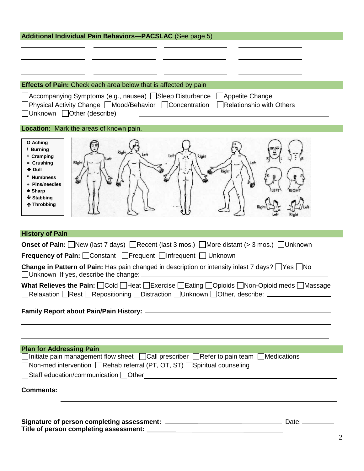| <b>Additional Individual Pain Behaviors-PACSLAC (See page 5)</b>                                                                                                                                                               |  |  |  |  |
|--------------------------------------------------------------------------------------------------------------------------------------------------------------------------------------------------------------------------------|--|--|--|--|
|                                                                                                                                                                                                                                |  |  |  |  |
|                                                                                                                                                                                                                                |  |  |  |  |
|                                                                                                                                                                                                                                |  |  |  |  |
| <b>Effects of Pain:</b> Check each area below that is affected by pain                                                                                                                                                         |  |  |  |  |
|                                                                                                                                                                                                                                |  |  |  |  |
| JAccompanying Symptoms (e.g., nausea) □Sleep Disturbance<br>Appetite Change<br>Physical Activity Change   Mood/Behavior   Concentration<br><b>Relationship with Others</b><br>□Unknown □Other (describe)                       |  |  |  |  |
| Location: Mark the areas of known pain.                                                                                                                                                                                        |  |  |  |  |
| O Aching<br>/ Burning<br>Righ<br># Cramping<br>Right<br>Left<br>Right<br>$=$ Crushing<br>$\blacklozenge$ Dull<br>* Numbness<br>+ Pins/needles<br>$\bullet$ Sharp<br>$\bigvee$ Stabbing<br>↑ Throbbing                          |  |  |  |  |
| <b>History of Pain</b>                                                                                                                                                                                                         |  |  |  |  |
| <b>Onset of Pain:</b> New (last 7 days) Recent (last 3 mos.) More distant (> 3 mos.) Unknown                                                                                                                                   |  |  |  |  |
| <b>Frequency of Pain:</b> Constant Frequent Infrequent ID Unknown                                                                                                                                                              |  |  |  |  |
| <b>Change in Pattern of Pain:</b> Has pain changed in description or intensity inlast 7 days? $\Box$ Yes $\Box$ No<br>Unknown If yes, describe the change:                                                                     |  |  |  |  |
| What Relieves the Pain: <b>Cold IHeat IExercise IEating IOpioids</b> Non-Opioid meds IMassage<br>]Relaxation □Rest □Repositioning □Distraction □Unknown □Other, describe: _____________                                        |  |  |  |  |
|                                                                                                                                                                                                                                |  |  |  |  |
| ,我们也不会有什么。""我们的人,我们也不会有什么?""我们的人,我们也不会有什么?""我们的人,我们也不会有什么?""我们的人,我们也不会有什么?""我们的人<br><b>Plan for Addressing Pain</b>                                                                                                            |  |  |  |  |
| $\Box$ Initiate pain management flow sheet $\Box$ Call prescriber $\Box$ Refer to pain team $\Box$ Medications                                                                                                                 |  |  |  |  |
| □Non-med intervention □Rehab referral (PT, OT, ST) □Spiritual counseling                                                                                                                                                       |  |  |  |  |
| Staff education/communication Other Communication and Communication of Communication and Communication and Communication and Communication and Communication and Communication and Communication and Communication and Communi |  |  |  |  |
|                                                                                                                                                                                                                                |  |  |  |  |
| a sa bandar a ta 1970 a ta 1970 a ta 1970 a ta 1970 a ta 1970 a ta 1970 a ta 1970 a ta 1970 a ta 1970 a ta 197                                                                                                                 |  |  |  |  |
| ,我们也不会有什么。""我们的人,我们也不会有什么?""我们的人,我们也不会有什么?""我们的人,我们也不会有什么?""我们的人,我们也不会有什么?""我们的人                                                                                                                                               |  |  |  |  |
|                                                                                                                                                                                                                                |  |  |  |  |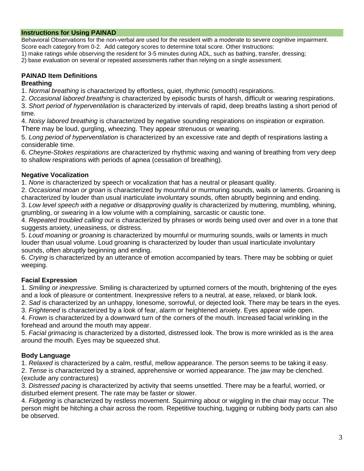### **Instructions for Using PAINAD**

Behavioral Observations for the non-verbal are used for the resident with a moderate to severe cognitive impairment. Score each category from 0-2. Add category scores to determine total score. Other Instructions:

1) make ratings while observing the resident for 3-5 minutes during ADL, such as bathing, transfer, dressing;

2) base evaluation on several or repeated assessments rather than relying on a single assessment.

#### **PAINAD Item Definitions Breathing**

1. *Normal breathing* is characterized by effortless, quiet, rhythmic (smooth) respirations.

2. *Occasional labored breathing* is characterized by episodic bursts of harsh, difficult or wearing respirations.

3. *Short period of hyperventilation* is characterized by intervals of rapid, deep breaths lasting a short period of time.

4. *Noisy labored breathing* is characterized by negative sounding respirations on inspiration or expiration. There may be loud, gurgling, wheezing. They appear strenuous or wearing.

5. *Long period of hyperventilation* is characterized by an excessive rate and depth of respirations lasting a considerable time.

6. *Cheyne-Stokes respirations* are characterized by rhythmic waxing and waning of breathing from very deep to shallow respirations with periods of apnea (cessation of breathing).

### **Negative Vocalization**

1. *None* is characterized by speech or vocalization that has a neutral or pleasant quality.

2. *Occasional moan or groan* is characterized by mournful or murmuring sounds, wails or laments. Groaning is characterized by louder than usual inarticulate involuntary sounds, often abruptly beginning and ending.

3. *Low level speech with a negative or disapproving quality* is characterized by muttering, mumbling, whining, grumbling, or swearing in a low volume with a complaining, sarcastic or caustic tone.

4. *Repeated troubled calling out* is characterized by phrases or words being used over and over in a tone that suggests anxiety, uneasiness, or distress.

5. *Loud moaning or groaning* is characterized by mournful or murmuring sounds, wails or laments in much louder than usual volume. Loud groaning is characterized by louder than usual inarticulate involuntary sounds, often abruptly beginning and ending.

6. *Crying* is characterized by an utterance of emotion accompanied by tears. There may be sobbing or quiet weeping.

## **Facial Expression**

1. *Smiling or inexpressive.* Smiling is characterized by upturned corners of the mouth, brightening of the eyes and a look of pleasure or contentment. Inexpressive refers to a neutral, at ease, relaxed, or blank look.

2. *Sad* is characterized by an unhappy, lonesome, sorrowful, or dejected look. There may be tears in the eyes. 3. *Frightened* is characterized by a look of fear, alarm or heightened anxiety. Eyes appear wide open.

4. *Frown* is characterized by a downward turn of the corners of the mouth. Increased facial wrinkling in the forehead and around the mouth may appear.

5. *Facial grimacing* is characterized by a distorted, distressed look. The brow is more wrinkled as is the area around the mouth. Eyes may be squeezed shut.

## **Body Language**

1. *Relaxed* is characterized by a calm, restful, mellow appearance. The person seems to be taking it easy.

2. *Tense* is characterized by a strained, apprehensive or worried appearance. The jaw may be clenched. (exclude any contractures)

3. *Distressed pacing* is characterized by activity that seems unsettled. There may be a fearful, worried, or disturbed element present. The rate may be faster or slower.

4. *Fidgeting* is characterized by restless movement. Squirming about or wiggling in the chair may occur. The person might be hitching a chair across the room. Repetitive touching, tugging or rubbing body parts can also be observed.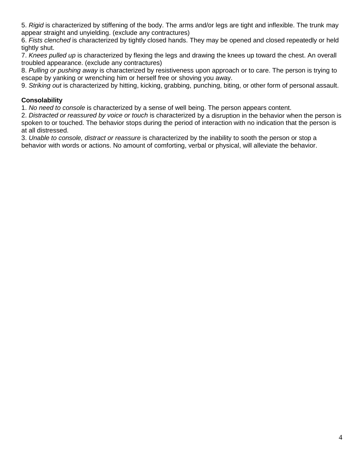5. *Rigid* is characterized by stiffening of the body. The arms and/or legs are tight and inflexible. The trunk may appear straight and unyielding. (exclude any contractures)

6. *Fists clenched* is characterized by tightly closed hands. They may be opened and closed repeatedly or held tightly shut.

7. *Knees pulled up* is characterized by flexing the legs and drawing the knees up toward the chest. An overall troubled appearance. (exclude any contractures)

8. *Pulling or pushing away* is characterized by resistiveness upon approach or to care. The person is trying to escape by yanking or wrenching him or herself free or shoving you away.

9. *Striking out* is characterized by hitting, kicking, grabbing, punching, biting, or other form of personal assault.

### **Consolability**

1. *No need to console* is characterized by a sense of well being. The person appears content.

2. *Distracted or reassured by voice or touch* is characterized by a disruption in the behavior when the person is spoken to or touched. The behavior stops during the period of interaction with no indication that the person is at all distressed.

3. *Unable to console, distract or reassure* is characterized by the inability to sooth the person or stop a behavior with words or actions. No amount of comforting, verbal or physical, will alleviate the behavior.